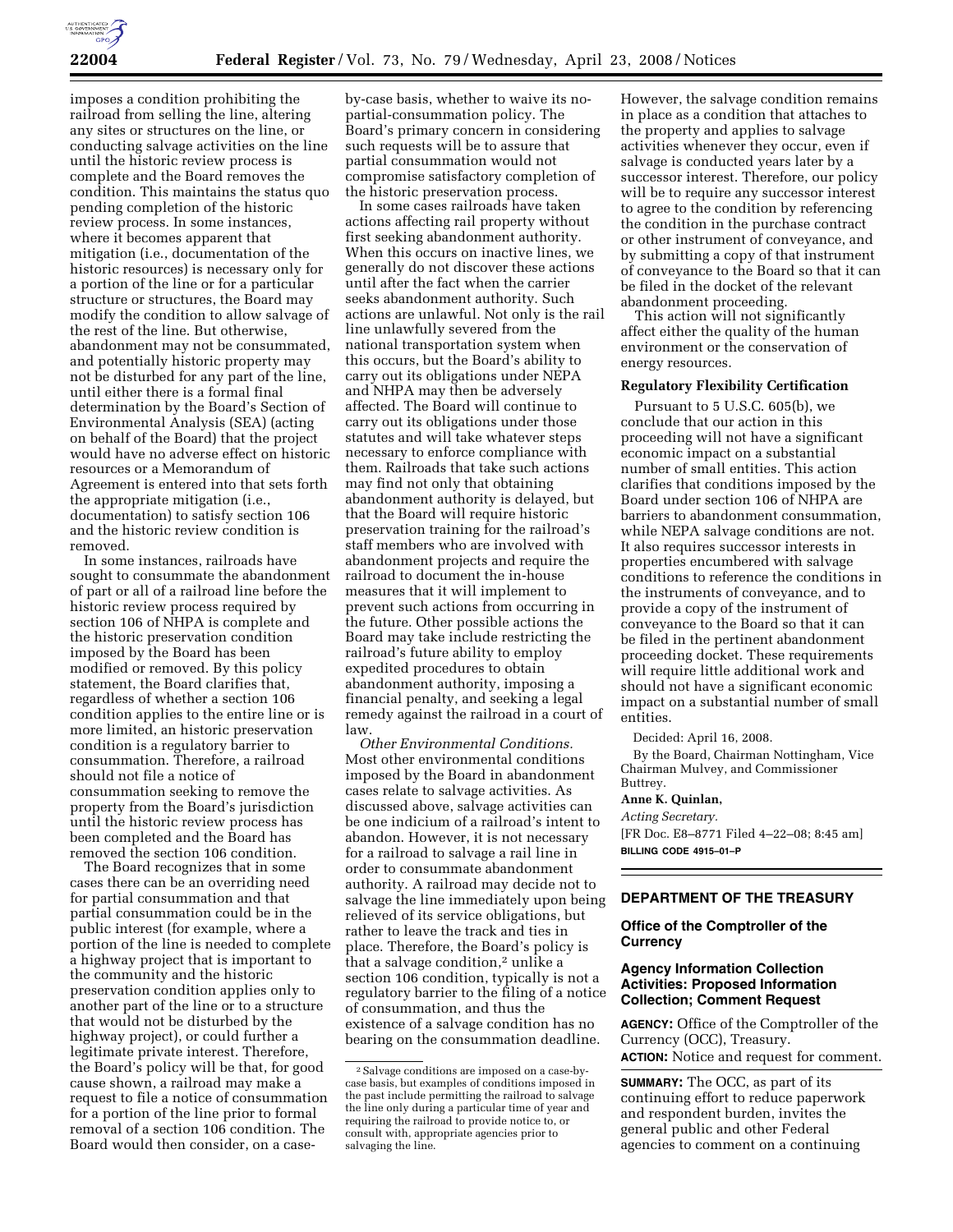

imposes a condition prohibiting the railroad from selling the line, altering any sites or structures on the line, or conducting salvage activities on the line until the historic review process is complete and the Board removes the condition. This maintains the status quo pending completion of the historic review process. In some instances, where it becomes apparent that mitigation (i.e., documentation of the historic resources) is necessary only for a portion of the line or for a particular structure or structures, the Board may modify the condition to allow salvage of the rest of the line. But otherwise, abandonment may not be consummated, and potentially historic property may not be disturbed for any part of the line, until either there is a formal final determination by the Board's Section of Environmental Analysis (SEA) (acting on behalf of the Board) that the project would have no adverse effect on historic resources or a Memorandum of Agreement is entered into that sets forth the appropriate mitigation (i.e., documentation) to satisfy section 106 and the historic review condition is removed.

In some instances, railroads have sought to consummate the abandonment of part or all of a railroad line before the historic review process required by section 106 of NHPA is complete and the historic preservation condition imposed by the Board has been modified or removed. By this policy statement, the Board clarifies that, regardless of whether a section 106 condition applies to the entire line or is more limited, an historic preservation condition is a regulatory barrier to consummation. Therefore, a railroad should not file a notice of consummation seeking to remove the property from the Board's jurisdiction until the historic review process has been completed and the Board has removed the section 106 condition.

The Board recognizes that in some cases there can be an overriding need for partial consummation and that partial consummation could be in the public interest (for example, where a portion of the line is needed to complete a highway project that is important to the community and the historic preservation condition applies only to another part of the line or to a structure that would not be disturbed by the highway project), or could further a legitimate private interest. Therefore, the Board's policy will be that, for good cause shown, a railroad may make a request to file a notice of consummation for a portion of the line prior to formal removal of a section 106 condition. The Board would then consider, on a case-

by-case basis, whether to waive its nopartial-consummation policy. The Board's primary concern in considering such requests will be to assure that partial consummation would not compromise satisfactory completion of the historic preservation process.

In some cases railroads have taken actions affecting rail property without first seeking abandonment authority. When this occurs on inactive lines, we generally do not discover these actions until after the fact when the carrier seeks abandonment authority. Such actions are unlawful. Not only is the rail line unlawfully severed from the national transportation system when this occurs, but the Board's ability to carry out its obligations under NEPA and NHPA may then be adversely affected. The Board will continue to carry out its obligations under those statutes and will take whatever steps necessary to enforce compliance with them. Railroads that take such actions may find not only that obtaining abandonment authority is delayed, but that the Board will require historic preservation training for the railroad's staff members who are involved with abandonment projects and require the railroad to document the in-house measures that it will implement to prevent such actions from occurring in the future. Other possible actions the Board may take include restricting the railroad's future ability to employ expedited procedures to obtain abandonment authority, imposing a financial penalty, and seeking a legal remedy against the railroad in a court of law.

*Other Environmental Conditions.*  Most other environmental conditions imposed by the Board in abandonment cases relate to salvage activities. As discussed above, salvage activities can be one indicium of a railroad's intent to abandon. However, it is not necessary for a railroad to salvage a rail line in order to consummate abandonment authority. A railroad may decide not to salvage the line immediately upon being relieved of its service obligations, but rather to leave the track and ties in place. Therefore, the Board's policy is that a salvage condition,<sup>2</sup> unlike a section 106 condition, typically is not a regulatory barrier to the filing of a notice of consummation, and thus the existence of a salvage condition has no bearing on the consummation deadline.

However, the salvage condition remains in place as a condition that attaches to the property and applies to salvage activities whenever they occur, even if salvage is conducted years later by a successor interest. Therefore, our policy will be to require any successor interest to agree to the condition by referencing the condition in the purchase contract or other instrument of conveyance, and by submitting a copy of that instrument of conveyance to the Board so that it can be filed in the docket of the relevant abandonment proceeding.

This action will not significantly affect either the quality of the human environment or the conservation of energy resources.

### **Regulatory Flexibility Certification**

Pursuant to 5 U.S.C. 605(b), we conclude that our action in this proceeding will not have a significant economic impact on a substantial number of small entities. This action clarifies that conditions imposed by the Board under section 106 of NHPA are barriers to abandonment consummation, while NEPA salvage conditions are not. It also requires successor interests in properties encumbered with salvage conditions to reference the conditions in the instruments of conveyance, and to provide a copy of the instrument of conveyance to the Board so that it can be filed in the pertinent abandonment proceeding docket. These requirements will require little additional work and should not have a significant economic impact on a substantial number of small entities.

Decided: April 16, 2008.

By the Board, Chairman Nottingham, Vice Chairman Mulvey, and Commissioner Buttrey.

### **Anne K. Quinlan,**

*Acting Secretary.* 

[FR Doc. E8–8771 Filed 4–22–08; 8:45 am] **BILLING CODE 4915–01–P** 

# **DEPARTMENT OF THE TREASURY**

### **Office of the Comptroller of the Currency**

# **Agency Information Collection Activities: Proposed Information Collection; Comment Request**

**AGENCY:** Office of the Comptroller of the Currency (OCC), Treasury. **ACTION:** Notice and request for comment.

**SUMMARY:** The OCC, as part of its continuing effort to reduce paperwork and respondent burden, invites the general public and other Federal agencies to comment on a continuing

<sup>2</sup>Salvage conditions are imposed on a case-bycase basis, but examples of conditions imposed in the past include permitting the railroad to salvage the line only during a particular time of year and requiring the railroad to provide notice to, or consult with, appropriate agencies prior to salvaging the line.